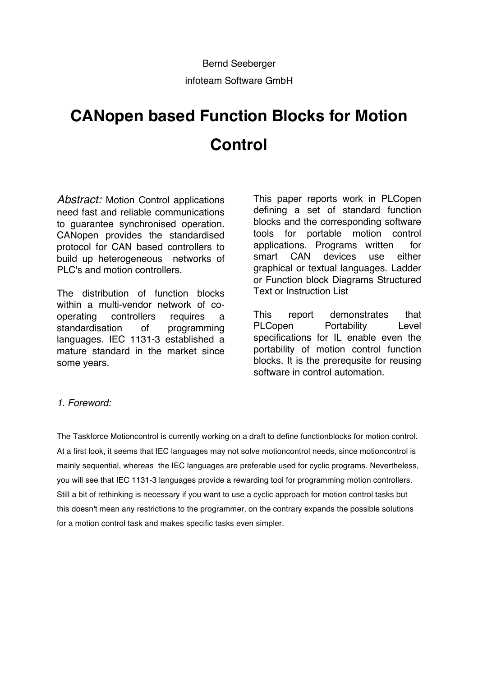# **CANopen based Function Blocks for Motion Control**

*Abstract:* Motion Control applications need fast and reliable communications to guarantee synchronised operation. CANopen provides the standardised protocol for CAN based controllers to build up heterogeneous networks of PLC's and motion controllers.

The distribution of function blocks within a multi-vendor network of cooperating controllers requires a standardisation of programming languages. IEC 1131-3 established a mature standard in the market since some years.

This paper reports work in PLCopen defining a set of standard function blocks and the corresponding software tools for portable motion control applications. Programs written for smart CAN devices use either graphical or textual languages. Ladder or Function block Diagrams Structured Text or Instruction List

This report demonstrates that PLCopen Portability Level specifications for IL enable even the portability of motion control function blocks. It is the prerequsite for reusing software in control automation.

## *1. Foreword:*

The Taskforce Motioncontrol is currently working on a draft to define functionblocks for motion control. At a first look, it seems that IEC languages may not solve motioncontrol needs, since motioncontrol is mainly sequential, whereas the IEC languages are preferable used for cyclic programs. Nevertheless, you will see that IEC 1131-3 languages provide a rewarding tool for programming motion controllers. Still a bit of rethinking is necessary if you want to use a cyclic approach for motion control tasks but this doesn't mean any restrictions to the programmer, on the contrary expands the possible solutions for a motion control task and makes specific tasks even simpler.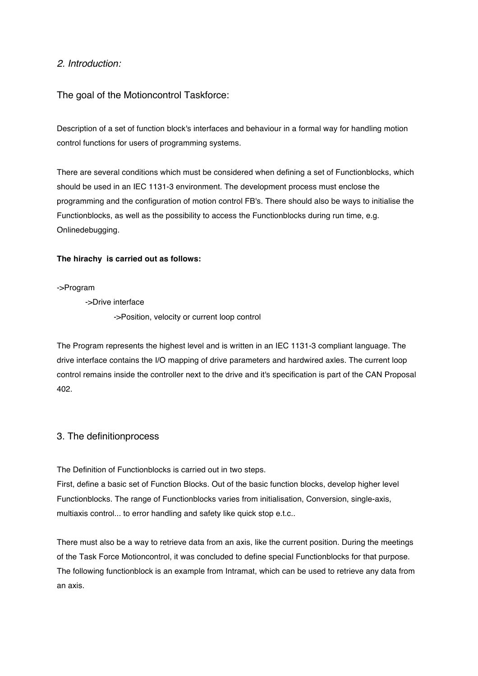## *2. Introduction:*

The goal of the Motioncontrol Taskforce:

Description of a set of function block's interfaces and behaviour in a formal way for handling motion control functions for users of programming systems.

There are several conditions which must be considered when defining a set of Functionblocks, which should be used in an IEC 1131-3 environment. The development process must enclose the programming and the configuration of motion control FB's. There should also be ways to initialise the Functionblocks, as well as the possibility to access the Functionblocks during run time, e.g. Onlinedebugging.

### **The hirachy is carried out as follows:**

->Program

->Drive interface

->Position, velocity or current loop control

The Program represents the highest level and is written in an IEC 1131-3 compliant language. The drive interface contains the I/O mapping of drive parameters and hardwired axles. The current loop control remains inside the controller next to the drive and it's specification is part of the CAN Proposal 402.

## 3. The definitionprocess

The Definition of Functionblocks is carried out in two steps.

First, define a basic set of Function Blocks. Out of the basic function blocks, develop higher level Functionblocks. The range of Functionblocks varies from initialisation, Conversion, single-axis, multiaxis control... to error handling and safety like quick stop e.t.c..

There must also be a way to retrieve data from an axis, like the current position. During the meetings of the Task Force Motioncontrol, it was concluded to define special Functionblocks for that purpose. The following functionblock is an example from Intramat, which can be used to retrieve any data from an axis.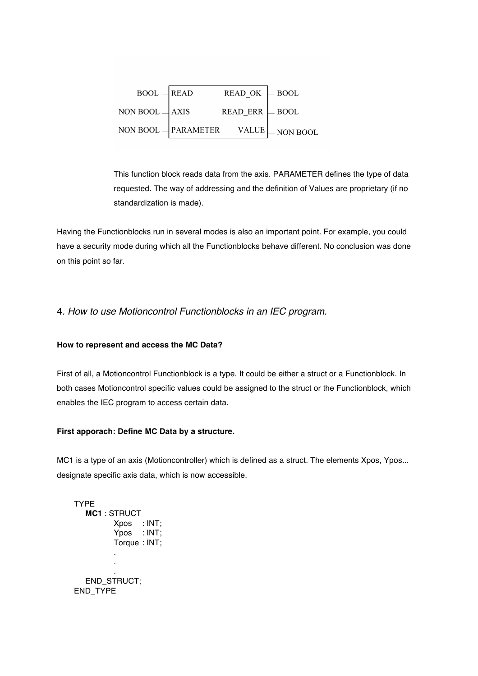| $BOOL$ READ                                             | $READ$ OK $\Box$ BOOL |  |
|---------------------------------------------------------|-----------------------|--|
| NON BOOL $\rightarrow$ AXIS READ_ERR $\rightarrow$ BOOL |                       |  |
| NON BOOL $\Box$ PARAMETER VALUE $\Box$ NON BOOL         |                       |  |

This function block reads data from the axis. PARAMETER defines the type of data requested. The way of addressing and the definition of Values are proprietary (if no standardization is made).

Having the Functionblocks run in several modes is also an important point. For example, you could have a security mode during which all the Functionblocks behave different. No conclusion was done on this point so far.

## 4*. How to use Motioncontrol Functionblocks in an IEC program.*

#### **How to represent and access the MC Data?**

First of all, a Motioncontrol Functionblock is a type. It could be either a struct or a Functionblock. In both cases Motioncontrol specific values could be assigned to the struct or the Functionblock, which enables the IEC program to access certain data.

#### **First apporach: Define MC Data by a structure.**

MC1 is a type of an axis (Motioncontroller) which is defined as a struct. The elements Xpos, Ypos... designate specific axis data, which is now accessible.

```
TYPE
  MC1 : STRUCT 
         Xpos : INT;
         Ypos : INT;
         Torque : INT;
         .
         .
         .
  END_STRUCT;
END_TYPE
```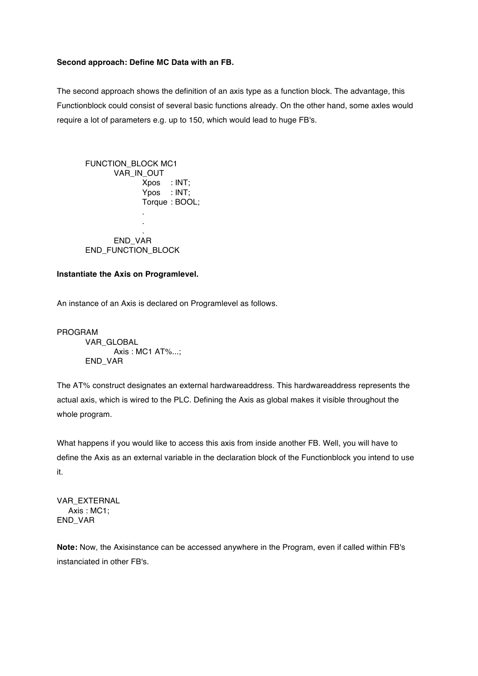#### **Second approach: Define MC Data with an FB.**

The second approach shows the definition of an axis type as a function block. The advantage, this Functionblock could consist of several basic functions already. On the other hand, some axles would require a lot of parameters e.g. up to 150, which would lead to huge FB's.

FUNCTION\_BLOCK MC1 VAR\_IN\_OUT Xpos : INT; Ypos : INT: Torque : BOOL; . . . END\_VAR END\_FUNCTION\_BLOCK

#### **Instantiate the Axis on Programlevel.**

An instance of an Axis is declared on Programlevel as follows.

PROGRAM VAR\_GLOBAL Axis : MC1 AT%...; END\_VAR

The AT% construct designates an external hardwareaddress. This hardwareaddress represents the actual axis, which is wired to the PLC. Defining the Axis as global makes it visible throughout the whole program.

What happens if you would like to access this axis from inside another FB. Well, you will have to define the Axis as an external variable in the declaration block of the Functionblock you intend to use it.

VAR\_EXTERNAL Axis : MC1; END\_VAR

**Note:** Now, the Axisinstance can be accessed anywhere in the Program, even if called within FB's instanciated in other FB's.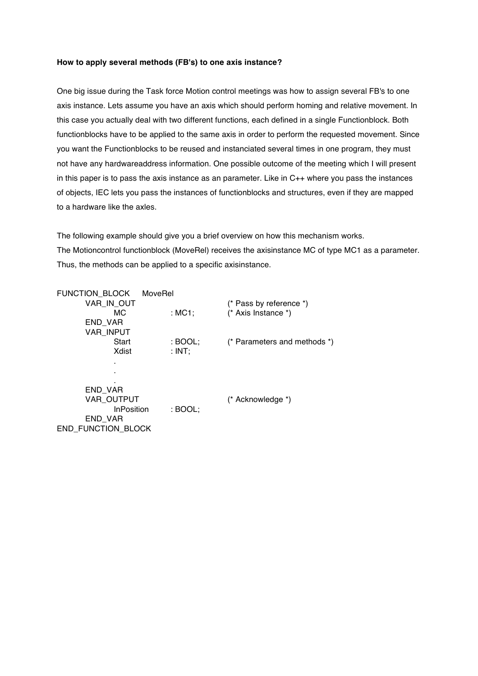#### **How to apply several methods (FB's) to one axis instance?**

One big issue during the Task force Motion control meetings was how to assign several FB's to one axis instance. Lets assume you have an axis which should perform homing and relative movement. In this case you actually deal with two different functions, each defined in a single Functionblock. Both functionblocks have to be applied to the same axis in order to perform the requested movement. Since you want the Functionblocks to be reused and instanciated several times in one program, they must not have any hardwareaddress information. One possible outcome of the meeting which I will present in this paper is to pass the axis instance as an parameter. Like in C++ where you pass the instances of objects, IEC lets you pass the instances of functionblocks and structures, even if they are mapped to a hardware like the axles.

The following example should give you a brief overview on how this mechanism works. The Motioncontrol functionblock (MoveRel) receives the axisinstance MC of type MC1 as a parameter. Thus, the methods can be applied to a specific axisinstance.

| FUNCTION_BLOCK<br>MoveRel |           |                              |
|---------------------------|-----------|------------------------------|
| VAR IN OUT                |           | (* Pass by reference *)      |
| MC.                       | : $MC1$ ; | $(*$ Axis Instance $*)$      |
| END VAR                   |           |                              |
| <b>VAR INPUT</b>          |           |                              |
| Start                     | : BOOL;   | (* Parameters and methods *) |
| Xdist                     | : INT;    |                              |
|                           |           |                              |
|                           |           |                              |
|                           |           |                              |
| END VAR                   |           |                              |
| VAR OUTPUT                |           | (* Acknowledge *)            |
| <b>InPosition</b>         | $:$ BOOL; |                              |
| END VAR                   |           |                              |
| <b>END FUNCTION BLOCK</b> |           |                              |
|                           |           |                              |